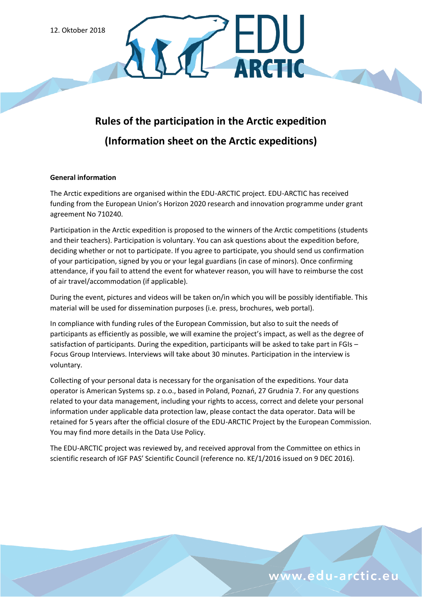# **Rules of the participation in the Arctic expedition (Information sheet on the Arctic expeditions)**

DU

#### **General information**

The Arctic expeditions are organised within the EDU-ARCTIC project. EDU-ARCTIC has received funding from the European Union's Horizon 2020 research and innovation programme under grant agreement No 710240.

Participation in the Arctic expedition is proposed to the winners of the Arctic competitions (students and their teachers). Participation is voluntary. You can ask questions about the expedition before, deciding whether or not to participate. If you agree to participate, you should send us confirmation of your participation, signed by you or your legal guardians (in case of minors). Once confirming attendance, if you fail to attend the event for whatever reason, you will have to reimburse the cost of air travel/accommodation (if applicable).

During the event, pictures and videos will be taken on/in which you will be possibly identifiable. This material will be used for dissemination purposes (i.e. press, brochures, web portal).

In compliance with funding rules of the European Commission, but also to suit the needs of participants as efficiently as possible, we will examine the project's impact, as well as the degree of satisfaction of participants. During the expedition, participants will be asked to take part in FGIs – Focus Group Interviews. Interviews will take about 30 minutes. Participation in the interview is voluntary.

Collecting of your personal data is necessary for the organisation of the expeditions. Your data operator is American Systems sp. z o.o., based in Poland, Poznań, 27 Grudnia 7. For any questions related to your data management, including your rights to access, correct and delete your personal information under applicable data protection law, please contact the data operator. Data will be retained for 5 years after the official closure of the EDU-ARCTIC Project by the European Commission. You may find more details in the Data Use Policy.

The EDU-ARCTIC project was reviewed by, and received approval from the Committee on ethics in scientific research of IGF PAS' Scientific Council (reference no. KE/1/2016 issued on 9 DEC 2016).

## www.edu-arctic.eu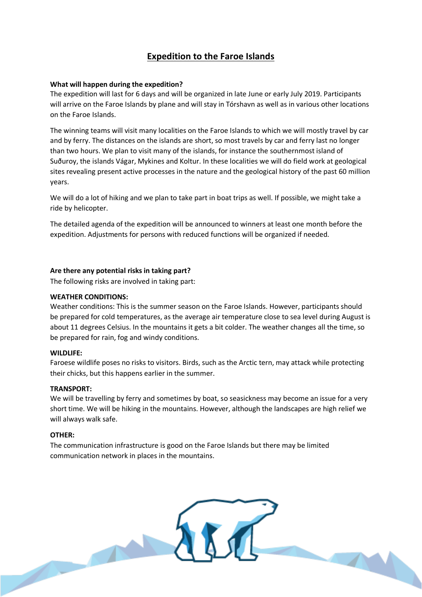## **Expedition to the Faroe Islands**

#### **What will happen during the expedition?**

The expedition will last for 6 days and will be organized in late June or early July 2019. Participants will arrive on the Faroe Islands by plane and will stay in Tórshavn as well as in various other locations on the Faroe Islands.

The winning teams will visit many localities on the Faroe Islands to which we will mostly travel by car and by ferry. The distances on the islands are short, so most travels by car and ferry last no longer than two hours. We plan to visit many of the islands, for instance the southernmost island of Suðuroy, the islands Vágar, Mykines and Koltur. In these localities we will do field work at geological sites revealing present active processes in the nature and the geological history of the past 60 million years.

We will do a lot of hiking and we plan to take part in boat trips as well. If possible, we might take a ride by helicopter.

The detailed agenda of the expedition will be announced to winners at least one month before the expedition. Adjustments for persons with reduced functions will be organized if needed.

#### **Are there any potential risks in taking part?**

The following risks are involved in taking part:

#### **WEATHER CONDITIONS:**

Weather conditions: This is the summer season on the Faroe Islands. However, participants should be prepared for cold temperatures, as the average air temperature close to sea level during August is about 11 degrees Celsius. In the mountains it gets a bit colder. The weather changes all the time, so be prepared for rain, fog and windy conditions.

#### **WILDLIFE:**

Faroese wildlife poses no risks to visitors. Birds, such as the Arctic tern, may attack while protecting their chicks, but this happens earlier in the summer.

#### **TRANSPORT:**

We will be travelling by ferry and sometimes by boat, so seasickness may become an issue for a very short time. We will be hiking in the mountains. However, although the landscapes are high relief we will always walk safe.

#### **OTHER:**

The communication infrastructure is good on the Faroe Islands but there may be limited communication network in places in the mountains.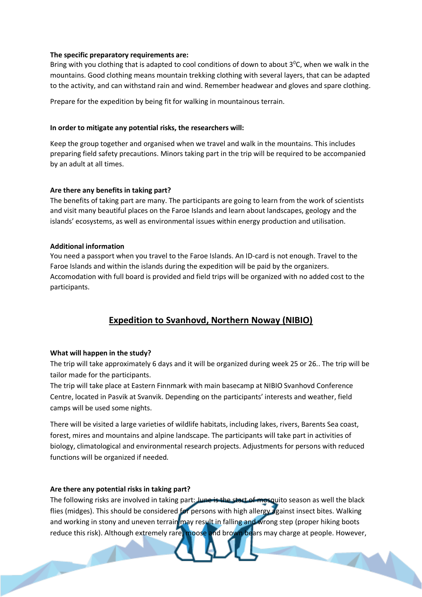#### **The specific preparatory requirements are:**

Bring with you clothing that is adapted to cool conditions of down to about  $3^{\circ}$ C, when we walk in the mountains. Good clothing means mountain trekking clothing with several layers, that can be adapted to the activity, and can withstand rain and wind. Remember headwear and gloves and spare clothing.

Prepare for the expedition by being fit for walking in mountainous terrain.

#### **In order to mitigate any potential risks, the researchers will:**

Keep the group together and organised when we travel and walk in the mountains. This includes preparing field safety precautions. Minors taking part in the trip will be required to be accompanied by an adult at all times.

#### **Are there any benefits in taking part?**

The benefits of taking part are many. The participants are going to learn from the work of scientists and visit many beautiful places on the Faroe Islands and learn about landscapes, geology and the islands' ecosystems, as well as environmental issues within energy production and utilisation.

#### **Additional information**

You need a passport when you travel to the Faroe Islands. An ID-card is not enough. Travel to the Faroe Islands and within the islands during the expedition will be paid by the organizers. Accomodation with full board is provided and field trips will be organized with no added cost to the participants.

### **Expedition to Svanhovd, Northern Noway (NIBIO)**

#### **What will happen in the study?**

The trip will take approximately 6 days and it will be organized during week 25 or 26.. The trip will be tailor made for the participants.

The trip will take place at Eastern Finnmark with main basecamp at NIBIO Svanhovd Conference Centre, located in Pasvik at Svanvik. Depending on the participants' interests and weather, field camps will be used some nights.

There will be visited a large varieties of wildlife habitats, including lakes, rivers, Barents Sea coast, forest, mires and mountains and alpine landscape. The participants will take part in activities of biology, climatological and environmental research projects. Adjustments for persons with reduced functions will be organized if needed.

#### **Are there any potential risks in taking part?**

The following risks are involved in taking part: June is the start of mosquito season as well the black flies (midges). This should be considered for persons with high allergy against insect bites. Walking and working in stony and uneven terrain may result in falling and wrong step (proper hiking boots reduce this risk). Although extremely rare, moose and brown bears may charge at people. However,